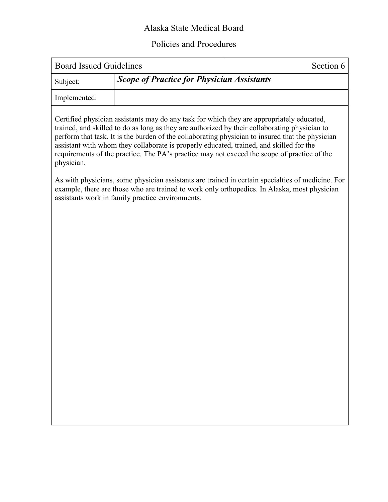## Alaska State Medical Board

## Policies and Procedures

| <b>Board Issued Guidelines</b> |                                                   | Section 6 |
|--------------------------------|---------------------------------------------------|-----------|
| Subject:                       | <b>Scope of Practice for Physician Assistants</b> |           |
| Implemented:                   |                                                   |           |

Certified physician assistants may do any task for which they are appropriately educated, trained, and skilled to do as long as they are authorized by their collaborating physician to perform that task. It is the burden of the collaborating physician to insured that the physician assistant with whom they collaborate is properly educated, trained, and skilled for the requirements of the practice. The PA's practice may not exceed the scope of practice of the physician.

As with physicians, some physician assistants are trained in certain specialties of medicine. For example, there are those who are trained to work only orthopedics. In Alaska, most physician assistants work in family practice environments.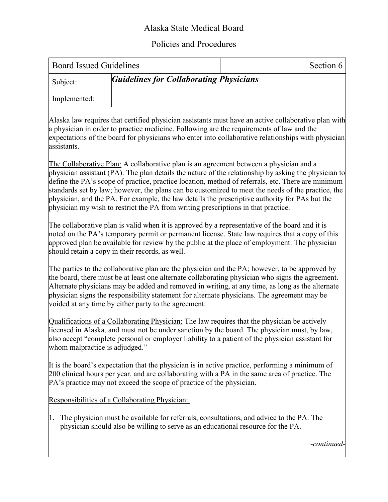## Alaska State Medical Board

## Policies and Procedures

| <b>Board Issued Guidelines</b> |                                                | Section 6 |
|--------------------------------|------------------------------------------------|-----------|
| Subject:                       | <b>Guidelines for Collaborating Physicians</b> |           |
| Implemented:                   |                                                |           |

Alaska law requires that certified physician assistants must have an active collaborative plan with a physician in order to practice medicine. Following are the requirements of law and the expectations of the board for physicians who enter into collaborative relationships with physician assistants.

The Collaborative Plan: A collaborative plan is an agreement between a physician and a physician assistant (PA). The plan details the nature of the relationship by asking the physician to define the PA's scope of practice, practice location, method of referrals, etc. There are minimum standards set by law; however, the plans can be customized to meet the needs of the practice, the physician, and the PA. For example, the law details the prescriptive authority for PAs but the physician my wish to restrict the PA from writing prescriptions in that practice.

The collaborative plan is valid when it is approved by a representative of the board and it is noted on the PA's temporary permit or permanent license. State law requires that a copy of this approved plan be available for review by the public at the place of employment. The physician should retain a copy in their records, as well.

The parties to the collaborative plan are the physician and the PA; however, to be approved by the board, there must be at least one alternate collaborating physician who signs the agreement. Alternate physicians may be added and removed in writing, at any time, as long as the alternate physician signs the responsibility statement for alternate physicians. The agreement may be voided at any time by either party to the agreement.

Qualifications of a Collaborating Physician: The law requires that the physician be actively licensed in Alaska, and must not be under sanction by the board. The physician must, by law, also accept "complete personal or employer liability to a patient of the physician assistant for whom malpractice is adjudged."

It is the board's expectation that the physician is in active practice, performing a minimum of 200 clinical hours per year. and are collaborating with a PA in the same area of practice. The PA's practice may not exceed the scope of practice of the physician.

Responsibilities of a Collaborating Physician:

1. The physician must be available for referrals, consultations, and advice to the PA. The physician should also be willing to serve as an educational resource for the PA.

*-continued-*